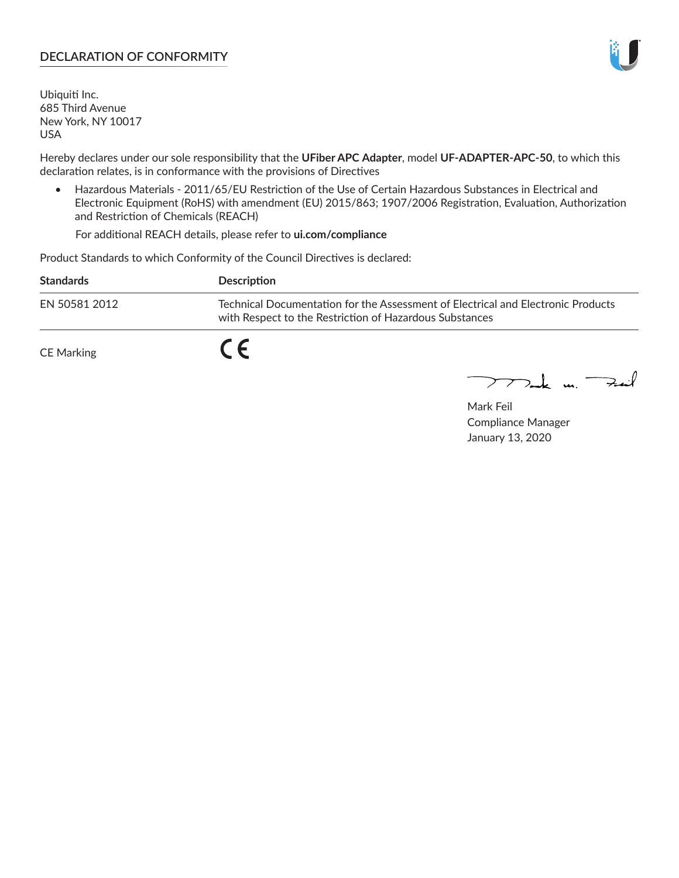## **DECLARATION OF CONFORMITY**

Ubiquiti Inc. 685 Third Avenue New York, NY 10017 USA

Hereby declares under our sole responsibility that the **UFiber APC Adapter**, model **UF-ADAPTER-APC-50**, to which this declaration relates, is in conformance with the provisions of Directives

• Hazardous Materials - 2011/65/EU Restriction of the Use of Certain Hazardous Substances in Electrical and Electronic Equipment (RoHS) with amendment (EU) 2015/863; 1907/2006 Registration, Evaluation, Authorization and Restriction of Chemicals (REACH)

For additional REACH details, please refer to **ui.com/compliance**

Product Standards to which Conformity of the Council Directives is declared:

| <b>Standards</b>  | Description                                                                                                                                 |
|-------------------|---------------------------------------------------------------------------------------------------------------------------------------------|
| EN 50581 2012     | Technical Documentation for the Assessment of Electrical and Electronic Products<br>with Respect to the Restriction of Hazardous Substances |
| <b>CE Marking</b> |                                                                                                                                             |

 $\sum_{n=1}^{\infty}$  un  $\sum_{n=1}^{\infty}$ 

Mark Feil Compliance Manager January 13, 2020

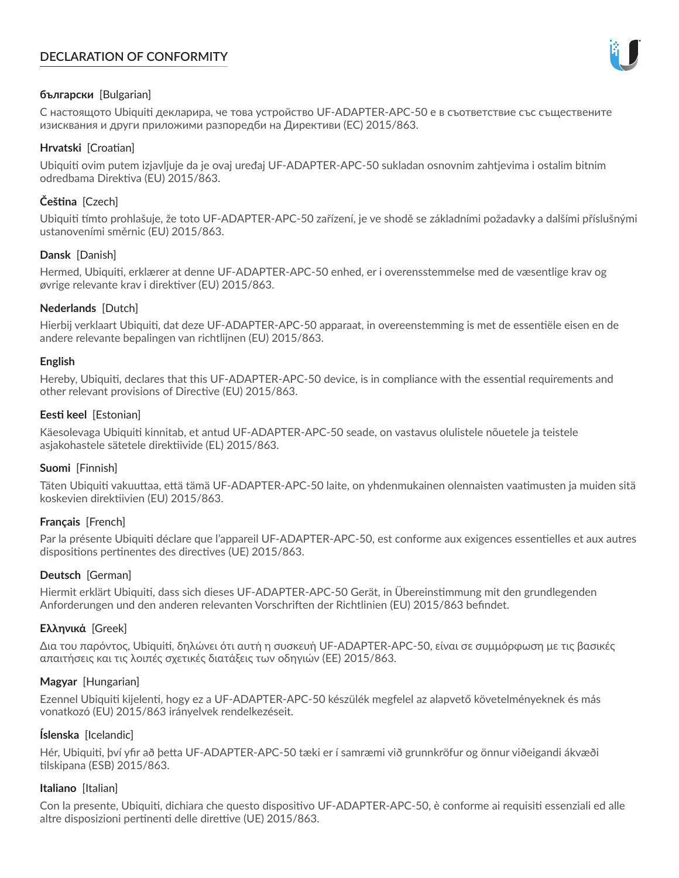# **DECLARATION OF CONFORMITY**



## **български** [Bulgarian]

С настоящото Ubiquiti декларира, че това устройство UF-ADAPTER-APC-50 е в съответствие със съществените изисквания и други приложими разпоредби на Директиви (ЕС) 2015/863.

## **Hrvatski** [Croatian]

Ubiquiti ovim putem izjavljuje da je ovaj uređaj UF-ADAPTER-APC-50 sukladan osnovnim zahtjevima i ostalim bitnim odredbama Direktiva (EU) 2015/863.

# **Čeština** [Czech]

Ubiquiti tímto prohlašuje, že toto UF-ADAPTER-APC-50 zařízení, je ve shodě se základními požadavky a dalšími příslušnými ustanoveními směrnic (EU) 2015/863.

### **Dansk** [Danish]

Hermed, Ubiquiti, erklærer at denne UF-ADAPTER-APC-50 enhed, er i overensstemmelse med de væsentlige krav og øvrige relevante krav i direktiver (EU) 2015/863.

### **Nederlands** [Dutch]

Hierbij verklaart Ubiquiti, dat deze UF-ADAPTER-APC-50 apparaat, in overeenstemming is met de essentiële eisen en de andere relevante bepalingen van richtlijnen (EU) 2015/863.

### **English**

Hereby, Ubiquiti, declares that this UF-ADAPTER-APC-50 device, is in compliance with the essential requirements and other relevant provisions of Directive (EU) 2015/863.

### **Eesti keel** [Estonian]

Käesolevaga Ubiquiti kinnitab, et antud UF-ADAPTER-APC-50 seade, on vastavus olulistele nõuetele ja teistele asjakohastele sätetele direktiivide (EL) 2015/863.

## **Suomi** [Finnish]

Täten Ubiquiti vakuuttaa, että tämä UF-ADAPTER-APC-50 laite, on yhdenmukainen olennaisten vaatimusten ja muiden sitä koskevien direktiivien (EU) 2015/863.

## **Français** [French]

Par la présente Ubiquiti déclare que l'appareil UF-ADAPTER-APC-50, est conforme aux exigences essentielles et aux autres dispositions pertinentes des directives (UE) 2015/863.

## **Deutsch** [German]

Hiermit erklärt Ubiquiti, dass sich dieses UF-ADAPTER-APC-50 Gerät, in Übereinstimmung mit den grundlegenden Anforderungen und den anderen relevanten Vorschriften der Richtlinien (EU) 2015/863 befindet.

## **Ελληνικά** [Greek]

Δια του παρόντος, Ubiquiti, δηλώνει ότι αυτή η συσκευή UF-ADAPTER-APC-50, είναι σε συμμόρφωση με τις βασικές απαιτήσεις και τις λοιπές σχετικές διατάξεις των οδηγιών (ΕΕ) 2015/863.

### **Magyar** [Hungarian]

Ezennel Ubiquiti kijelenti, hogy ez a UF-ADAPTER-APC-50 készülék megfelel az alapvető követelményeknek és más vonatkozó (EU) 2015/863 irányelvek rendelkezéseit.

## **Íslenska** [Icelandic]

Hér, Ubiquiti, því yfir að þetta UF-ADAPTER-APC-50 tæki er í samræmi við grunnkröfur og önnur viðeigandi ákvæði tilskipana (ESB) 2015/863.

### **Italiano** [Italian]

Con la presente, Ubiquiti, dichiara che questo dispositivo UF-ADAPTER-APC-50, è conforme ai requisiti essenziali ed alle altre disposizioni pertinenti delle direttive (UE) 2015/863.